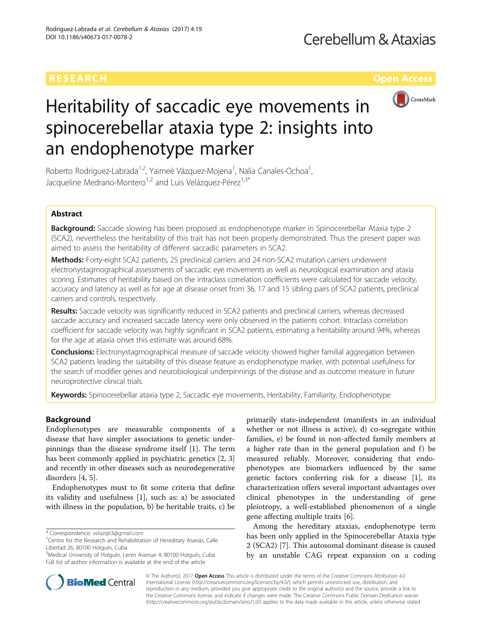

# Heritability of saccadic eye movements in spinocerebellar ataxia type 2: insights into an endophenotype marker

Roberto Rodríguez-Labrada<sup>1,2</sup>, Yaimeé Vázquez-Mojena<sup>1</sup>, Nalia Canales-Ochoa<sup>1</sup> , Jacqueline Medrano-Montero<sup>1,2</sup> and Luis Velázquez-Pérez<sup>1,3\*</sup>

# Abstract

Background: Saccade slowing has been proposed as endophenotype marker in Spinocerebellar Ataxia type 2 (SCA2), nevertheless the heritability of this trait has not been properly demonstrated. Thus the present paper was aimed to assess the heritability of different saccadic parameters in SCA2.

Methods: Forty-eight SCA2 patients, 25 preclinical carriers and 24 non-SCA2 mutation carriers underwent electronystagmographical assessments of saccadic eye movements as well as neurological examination and ataxia scoring. Estimates of heritability based on the intraclass correlation coefficients were calculated for saccade velocity, accuracy and latency as well as for age at disease onset from 36, 17 and 15 sibling pairs of SCA2 patients, preclinical carriers and controls, respectively.

Results: Saccade velocity was significantly reduced in SCA2 patients and preclinical carriers, whereas decreased saccade accuracy and increased saccade latency were only observed in the patients cohort. Intraclass correlation coefficient for saccade velocity was highly significant in SCA2 patients, estimating a heritability around 94%, whereas for the age at ataxia onset this estimate was around 68%.

**Conclusions:** Electronystagmographical measure of saccade velocity showed higher familial aggregation between SCA2 patients leading the suitability of this disease feature as endophenotype marker, with potential usefulness for the search of modifier genes and neurobiological underpinnings of the disease and as outcome measure in future neuroprotective clinical trials.

Keywords: Spinocerebellar ataxia type 2, Saccadic eye movements, Heritability, Familiarity, Endophenotype

# Background

Endophenotypes are measurable components of a disease that have simpler associations to genetic underpinnings than the disease syndrome itself [\[1](#page-5-0)]. The term has been commonly applied in psychiatric genetics [\[2](#page-5-0), [3](#page-5-0)] and recently in other diseases such as neurodegenerative disorders [\[4](#page-5-0), [5](#page-5-0)].

Endophenotypes must to fit some criteria that define its validity and usefulness [[1\]](#page-5-0), such as: a) be associated with illness in the population, b) be heritable traits, c) be

primarily state-independent (manifests in an individual whether or not illness is active), d) co-segregate within families, e) be found in non-affected family members at a higher rate than in the general population and f) be measured reliably. Moreover, considering that endophenotypes are biomarkers influenced by the same genetic factors conferring risk for a disease [\[1](#page-5-0)], its characterization offers several important advantages over clinical phenotypes in the understanding of gene pleiotropy, a well-established phenomenon of a single gene affecting multiple traits [\[6](#page-5-0)].

Among the hereditary ataxias, endophenotype term has been only applied in the Spinocerebellar Ataxia type 2 (SCA2) [[7\]](#page-5-0). This autosomal dominant disease is caused by an unstable CAG repeat expansion on a coding



© The Author(s). 2017 **Open Access** This article is distributed under the terms of the Creative Commons Attribution 4.0 International License [\(http://creativecommons.org/licenses/by/4.0/](http://creativecommons.org/licenses/by/4.0/)), which permits unrestricted use, distribution, and reproduction in any medium, provided you give appropriate credit to the original author(s) and the source, provide a link to the Creative Commons license, and indicate if changes were made. The Creative Commons Public Domain Dedication waiver [\(http://creativecommons.org/publicdomain/zero/1.0/](http://creativecommons.org/publicdomain/zero/1.0/)) applies to the data made available in this article, unless otherwise stated.

<sup>\*</sup> Correspondence: [velazq63@gmail.com](mailto:velazq63@gmail.com) <sup>1</sup>

<sup>&</sup>lt;sup>1</sup> Centre for the Research and Rehabilitation of Hereditary Ataxias, Calle Libertad 26, 80100 Holguín, Cuba

<sup>3</sup> Medical University of Holguín, Lenin Avenue 4, 80100 Holguín, Cuba Full list of author information is available at the end of the article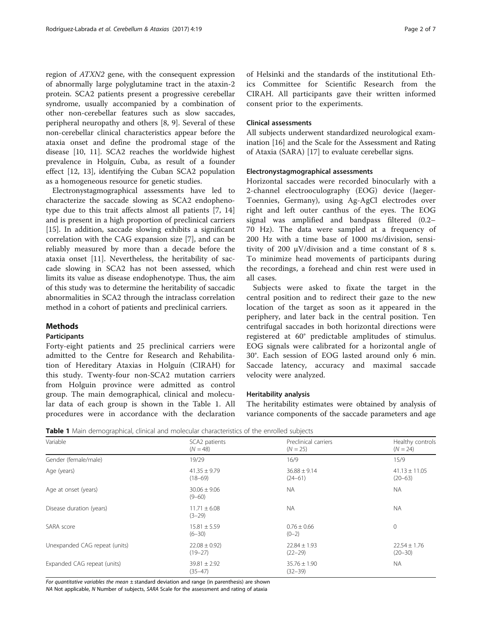region of ATXN2 gene, with the consequent expression of abnormally large polyglutamine tract in the ataxin-2 protein. SCA2 patients present a progressive cerebellar syndrome, usually accompanied by a combination of other non-cerebellar features such as slow saccades, peripheral neuropathy and others [[8, 9](#page-5-0)]. Several of these non-cerebellar clinical characteristics appear before the ataxia onset and define the prodromal stage of the disease [[10, 11\]](#page-5-0). SCA2 reaches the worldwide highest prevalence in Holguín, Cuba, as result of a founder effect [\[12](#page-5-0), [13\]](#page-5-0), identifying the Cuban SCA2 population as a homogeneous resource for genetic studies.

Electronystagmographical assessments have led to characterize the saccade slowing as SCA2 endophenotype due to this trait affects almost all patients [\[7](#page-5-0), [14](#page-5-0)] and is present in a high proportion of preclinical carriers [[15\]](#page-5-0). In addition, saccade slowing exhibits a significant correlation with the CAG expansion size [[7\]](#page-5-0), and can be reliably measured by more than a decade before the ataxia onset [\[11](#page-5-0)]. Nevertheless, the heritability of saccade slowing in SCA2 has not been assessed, which limits its value as disease endophenotype. Thus, the aim of this study was to determine the heritability of saccadic abnormalities in SCA2 through the intraclass correlation method in a cohort of patients and preclinical carriers.

# Methods

# Participants

Forty-eight patients and 25 preclinical carriers were admitted to the Centre for Research and Rehabilitation of Hereditary Ataxias in Holguín (CIRAH) for this study. Twenty-four non-SCA2 mutation carriers from Holguin province were admitted as control group. The main demographical, clinical and molecular data of each group is shown in the Table 1. All procedures were in accordance with the declaration

of Helsinki and the standards of the institutional Ethics Committee for Scientific Research from the CIRAH. All participants gave their written informed consent prior to the experiments.

# Clinical assessments

All subjects underwent standardized neurological examination [\[16](#page-5-0)] and the Scale for the Assessment and Rating of Ataxia (SARA) [[17](#page-5-0)] to evaluate cerebellar signs.

# Electronystagmographical assessments

Horizontal saccades were recorded binocularly with a 2-channel electrooculography (EOG) device (Jaeger-Toennies, Germany), using Ag-AgCl electrodes over right and left outer canthus of the eyes. The EOG signal was amplified and bandpass filtered (0.2– 70 Hz). The data were sampled at a frequency of 200 Hz with a time base of 1000 ms/division, sensitivity of 200 μV/division and a time constant of 8 s. To minimize head movements of participants during the recordings, a forehead and chin rest were used in all cases.

Subjects were asked to fixate the target in the central position and to redirect their gaze to the new location of the target as soon as it appeared in the periphery, and later back in the central position. Ten centrifugal saccades in both horizontal directions were registered at 60° predictable amplitudes of stimulus. EOG signals were calibrated for a horizontal angle of 30°. Each session of EOG lasted around only 6 min. Saccade latency, accuracy and maximal saccade velocity were analyzed.

# Heritability analysis

The heritability estimates were obtained by analysis of variance components of the saccade parameters and age

Table 1 Main demographical, clinical and molecular characteristics of the enrolled subjects

| SCA2 patients<br>$(N = 48)$     | Preclinical carriers<br>$(N = 25)$ | Healthy controls<br>$(N = 24)$<br>15/9 |  |
|---------------------------------|------------------------------------|----------------------------------------|--|
| 19/29                           | 16/9                               |                                        |  |
| $41.35 \pm 9.79$<br>$(18 - 69)$ | $36.88 \pm 9.14$<br>$(24-61)$      | $41.13 \pm 11.05$<br>$(20 - 63)$       |  |
| $30.06 \pm 9.06$<br>$(9 - 60)$  | <b>NA</b>                          | NA.                                    |  |
| $11.71 \pm 6.08$<br>$(3-29)$    | <b>NA</b>                          | NA.                                    |  |
| $15.81 \pm 5.59$<br>$(6 - 30)$  | $0.76 \pm 0.66$<br>$(0-2)$         | 0                                      |  |
| $22.08 \pm 0.92$<br>$(19 - 27)$ | $22.84 \pm 1.93$<br>$(22 - 29)$    | $22.54 \pm 1.76$<br>$(20 - 30)$        |  |
| $39.81 \pm 2.92$<br>$(35-47)$   | $35.76 \pm 1.90$<br>$(32 - 39)$    | NA.                                    |  |
|                                 |                                    |                                        |  |

For quantitative variables the mean  $\pm$  standard deviation and range (in parenthesis) are shown

NA Not applicable, N Number of subjects, SARA Scale for the assessment and rating of ataxia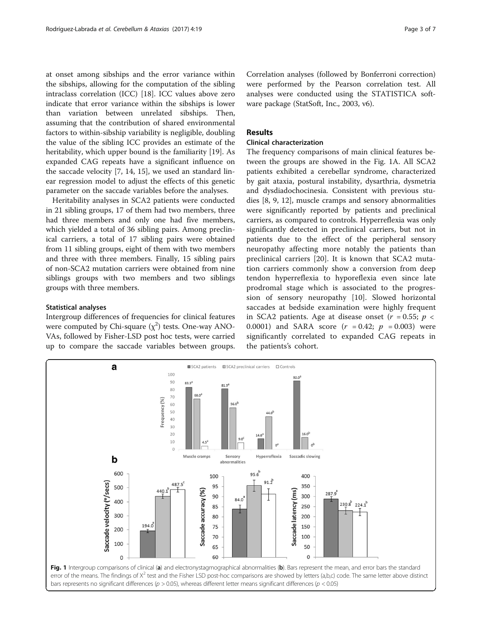<span id="page-2-0"></span>at onset among sibships and the error variance within the sibships, allowing for the computation of the sibling intraclass correlation (ICC) [\[18](#page-5-0)]. ICC values above zero indicate that error variance within the sibships is lower than variation between unrelated sibships. Then, assuming that the contribution of shared environmental factors to within-sibship variability is negligible, doubling the value of the sibling ICC provides an estimate of the heritability, which upper bound is the familiarity [[19](#page-5-0)]. As expanded CAG repeats have a significant influence on the saccade velocity [[7](#page-5-0), [14, 15\]](#page-5-0), we used an standard linear regression model to adjust the effects of this genetic parameter on the saccade variables before the analyses.

Heritability analyses in SCA2 patients were conducted in 21 sibling groups, 17 of them had two members, three had three members and only one had five members, which yielded a total of 36 sibling pairs. Among preclinical carriers, a total of 17 sibling pairs were obtained from 11 sibling groups, eight of them with two members and three with three members. Finally, 15 sibling pairs of non-SCA2 mutation carriers were obtained from nine siblings groups with two members and two siblings groups with three members.

#### Statistical analyses

Intergroup differences of frequencies for clinical features were computed by Chi-square  $(\chi^2)$  tests. One-way ANO-VAs, followed by Fisher-LSD post hoc tests, were carried up to compare the saccade variables between groups.

Correlation analyses (followed by Bonferroni correction) were performed by the Pearson correlation test. All analyses were conducted using the STATISTICA software package (StatSoft, Inc., 2003, v6).

# Results

# Clinical characterization

The frequency comparisons of main clinical features between the groups are showed in the Fig. 1A. All SCA2 patients exhibited a cerebellar syndrome, characterized by gait ataxia, postural instability, dysarthria, dysmetria and dysdiadochocinesia. Consistent with previous studies [\[8, 9](#page-5-0), [12\]](#page-5-0), muscle cramps and sensory abnormalities were significantly reported by patients and preclinical carriers, as compared to controls. Hyperreflexia was only significantly detected in preclinical carriers, but not in patients due to the effect of the peripheral sensory neuropathy affecting more notably the patients than preclinical carriers [[20\]](#page-5-0). It is known that SCA2 mutation carriers commonly show a conversion from deep tendon hyperreflexia to hyporeflexia even since late prodromal stage which is associated to the progression of sensory neuropathy [[10](#page-5-0)]. Slowed horizontal saccades at bedside examination were highly frequent in SCA2 patients. Age at disease onset ( $r = 0.55$ ;  $p \lt \sqrt{ }$ 0.0001) and SARA score  $(r = 0.42; p = 0.003)$  were significantly correlated to expanded CAG repeats in the patients's cohort.

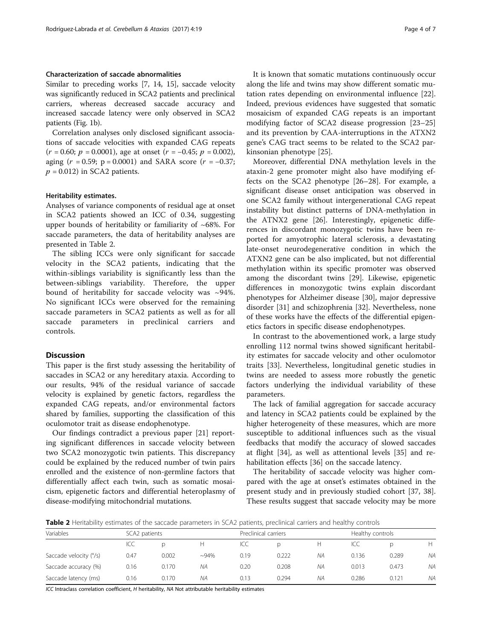## Characterization of saccade abnormalities

Similar to preceding works [[7, 14, 15](#page-5-0)], saccade velocity was significantly reduced in SCA2 patients and preclinical carriers, whereas decreased saccade accuracy and increased saccade latency were only observed in SCA2 patients (Fig. [1b\)](#page-2-0).

Correlation analyses only disclosed significant associations of saccade velocities with expanded CAG repeats  $(r = 0.60; p = 0.0001)$ , age at onset  $(r = -0.45; p = 0.002)$ , aging ( $r = 0.59$ ; p = 0.0001) and SARA score ( $r = -0.37$ ;  $p = 0.012$ ) in SCA2 patients.

### Heritability estimates.

Analyses of variance components of residual age at onset in SCA2 patients showed an ICC of 0.34, suggesting upper bounds of heritability or familiarity of  $~68\%$ . For saccade parameters, the data of heritability analyses are presented in Table 2.

The sibling ICCs were only significant for saccade velocity in the SCA2 patients, indicating that the within-siblings variability is significantly less than the between-siblings variability. Therefore, the upper bound of heritability for saccade velocity was ~94%. No significant ICCs were observed for the remaining saccade parameters in SCA2 patients as well as for all saccade parameters in preclinical carriers and controls.

### **Discussion**

This paper is the first study assessing the heritability of saccades in SCA2 or any hereditary ataxia. According to our results, 94% of the residual variance of saccade velocity is explained by genetic factors, regardless the expanded CAG repeats, and/or environmental factors shared by families, supporting the classification of this oculomotor trait as disease endophenotype.

Our findings contradict a previous paper [[21\]](#page-5-0) reporting significant differences in saccade velocity between two SCA2 monozygotic twin patients. This discrepancy could be explained by the reduced number of twin pairs enrolled and the existence of non-germline factors that differentially affect each twin, such as somatic mosaicism, epigenetic factors and differential heteroplasmy of disease-modifying mitochondrial mutations.

It is known that somatic mutations continuously occur along the life and twins may show different somatic mutation rates depending on environmental influence [\[22](#page-5-0)]. Indeed, previous evidences have suggested that somatic mosaicism of expanded CAG repeats is an important modifying factor of SCA2 disease progression [[23](#page-5-0)–[25](#page-6-0)] and its prevention by CAA-interruptions in the ATXN2 gene's CAG tract seems to be related to the SCA2 parkinsonian phenotype [[25\]](#page-6-0).

Moreover, differential DNA methylation levels in the ataxin-2 gene promoter might also have modifying effects on the SCA2 phenotype [\[26](#page-6-0)–[28](#page-6-0)]. For example, a significant disease onset anticipation was observed in one SCA2 family without intergenerational CAG repeat instability but distinct patterns of DNA-methylation in the ATNX2 gene [[26\]](#page-6-0). Interestingly, epigenetic differences in discordant monozygotic twins have been reported for amyotrophic lateral sclerosis, a devastating late-onset neurodegenerative condition in which the ATXN2 gene can be also implicated, but not differential methylation within its specific promoter was observed among the discordant twins [\[29](#page-6-0)]. Likewise, epigenetic differences in monozygotic twins explain discordant phenotypes for Alzheimer disease [[30\]](#page-6-0), major depressive disorder [[31\]](#page-6-0) and schizophrenia [\[32](#page-6-0)]. Nevertheless, none of these works have the effects of the differential epigenetics factors in specific disease endophenotypes.

In contrast to the abovementioned work, a large study enrolling 112 normal twins showed significant heritability estimates for saccade velocity and other oculomotor traits [\[33\]](#page-6-0). Nevertheless, longitudinal genetic studies in twins are needed to assess more robustly the genetic factors underlying the individual variability of these parameters.

The lack of familial aggregation for saccade accuracy and latency in SCA2 patients could be explained by the higher heterogeneity of these measures, which are more susceptible to additional influences such as the visual feedbacks that modify the accuracy of slowed saccades at flight [[34](#page-6-0)], as well as attentional levels [[35\]](#page-6-0) and rehabilitation effects [\[36\]](#page-6-0) on the saccade latency.

The heritability of saccade velocity was higher compared with the age at onset's estimates obtained in the present study and in previously studied cohort [[37](#page-6-0), [38](#page-6-0)]. These results suggest that saccade velocity may be more

Table 2 Heritability estimates of the saccade parameters in SCA2 patients, preclinical carriers and healthy controls

| Variables              | SCA2 patients |       |          |      | Preclinical carriers |    |       | Healthy controls |    |  |
|------------------------|---------------|-------|----------|------|----------------------|----|-------|------------------|----|--|
|                        | ICC           | p     |          | ICC  |                      | H  | ICC   |                  |    |  |
| Saccade velocity (°/s) | 0.47          | 0.002 | $~104\%$ | 0.19 | 0.222                | NΑ | 0.136 | 0.289            | ΝA |  |
| Saccade accuracy (%)   | 0.16          | 0.170 | NΑ       | 0.20 | 0.208                | ΝA | 0.013 | 0.473            | ΝA |  |
| Saccade latency (ms)   | 0.16          | 0.170 | NΑ       | 0.13 | 0.294                | ΝA | 0.286 | 0.121            | ΝA |  |

ICC Intraclass correlation coefficient, H heritability, NA Not attributable heritability estimates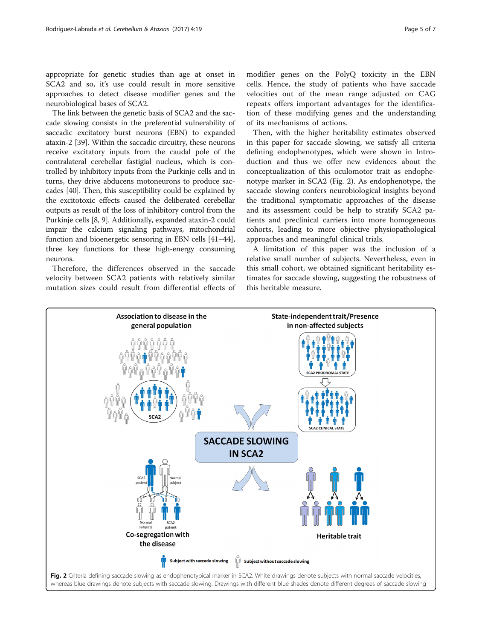appropriate for genetic studies than age at onset in SCA2 and so, it's use could result in more sensitive approaches to detect disease modifier genes and the neurobiological bases of SCA2.

The link between the genetic basis of SCA2 and the saccade slowing consists in the preferential vulnerability of saccadic excitatory burst neurons (EBN) to expanded ataxin-2 [\[39\]](#page-6-0). Within the saccadic circuitry, these neurons receive excitatory inputs from the caudal pole of the contralateral cerebellar fastigial nucleus, which is controlled by inhibitory inputs from the Purkinje cells and in turns, they drive abducens motoneurons to produce saccades [[40](#page-6-0)]. Then, this susceptibility could be explained by the excitotoxic effects caused the deliberated cerebellar outputs as result of the loss of inhibitory control from the Purkinje cells [\[8, 9](#page-5-0)]. Additionally, expanded ataxin-2 could impair the calcium signaling pathways, mitochondrial function and bioenergetic sensoring in EBN cells [\[41](#page-6-0)–[44](#page-6-0)], three key functions for these high-energy consuming neurons.

Therefore, the differences observed in the saccade velocity between SCA2 patients with relatively similar mutation sizes could result from differential effects of

modifier genes on the PolyQ toxicity in the EBN cells. Hence, the study of patients who have saccade velocities out of the mean range adjusted on CAG repeats offers important advantages for the identification of these modifying genes and the understanding of its mechanisms of actions.

Then, with the higher heritability estimates observed in this paper for saccade slowing, we satisfy all criteria defining endophenotypes, which were shown in Introduction and thus we offer new evidences about the conceptualization of this oculomotor trait as endophenotype marker in SCA2 (Fig. 2). As endophenotype, the saccade slowing confers neurobiological insights beyond the traditional symptomatic approaches of the disease and its assessment could be help to stratify SCA2 patients and preclinical carriers into more homogeneous cohorts, leading to more objective physiopathological approaches and meaningful clinical trials.

A limitation of this paper was the inclusion of a relative small number of subjects. Nevertheless, even in this small cohort, we obtained significant heritability estimates for saccade slowing, suggesting the robustness of this heritable measure.

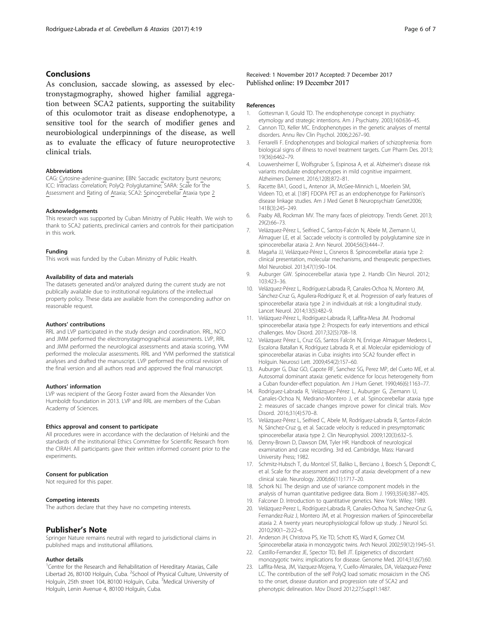# <span id="page-5-0"></span>Conclusions

As conclusion, saccade slowing, as assessed by electronystagmography, showed higher familial aggregation between SCA2 patients, supporting the suitability of this oculomotor trait as disease endophenotype, a sensitive tool for the search of modifier genes and neurobiological underpinnings of the disease, as well as to evaluate the efficacy of future neuroprotective clinical trials.

### Abbreviations

CAG: Cytosine-adenine-guanine; EBN: Saccadic excitatory burst neurons; ICC: Intraclass correlation; PolyQ: Polyglutamine; SARA: Scale for the Assessment and Rating of Ataxia; SCA2: Spinocerebellar Ataxia type 2

#### Acknowledgements

This research was supported by Cuban Ministry of Public Health. We wish to thank to SCA2 patients, preclinical carriers and controls for their participation in this work.

### Funding

This work was funded by the Cuban Ministry of Public Health.

#### Availability of data and materials

The datasets generated and/or analyzed during the current study are not publically available due to institutional regulations of the intellectual property policy. These data are available from the corresponding author on reasonable request.

#### Authors' contributions

RRL and LVP participated in the study design and coordination. RRL, NCO and JMM performed the electronystagmographical assessments. LVP, RRL and JMM performed the neurological assessments and ataxia scoring, YVM performed the molecular assessments. RRL and YVM performed the statistical analyses and drafted the manuscript. LVP performed the critical revision of the final version and all authors read and approved the final manuscript.

#### Authors' information

LVP was recipient of the Georg Foster award from the Alexander Von Humboldt foundation in 2013. LVP and RRL are members of the Cuban Academy of Sciences.

#### Ethics approval and consent to participate

All procedures were in accordance with the declaration of Helsinki and the standards of the institutional Ethics Committee for Scientific Research from the CIRAH. All participants gave their written informed consent prior to the experiments.

# Consent for publication

Not required for this paper.

### Competing interests

The authors declare that they have no competing interests.

# Publisher's Note

Springer Nature remains neutral with regard to jurisdictional claims in published maps and institutional affiliations.

#### Author details

<sup>1</sup>Centre for the Research and Rehabilitation of Hereditary Ataxias, Calle Libertad 26, 80100 Holguín, Cuba. <sup>2</sup>School of Physical Culture, University of Holguín, 25th street 104, 80100 Holguín, Cuba. <sup>3</sup>Medical University of Holguín, Lenin Avenue 4, 80100 Holguín, Cuba.

Received: 1 November 2017 Accepted: 7 December 2017 Published online: 19 December 2017

#### References

- 1. Gottesman II, Gould TD. The endophenotype concept in psychiatry: etymology and strategic intentions. Am J Psychiatry. 2003;160:636–45.
- 2. Cannon TD, Keller MC. Endophenotypes in the genetic analyses of mental disorders. Annu Rev Clin Psychol. 2006;2:267–90.
- 3. Ferrarelli F. Endophenotypes and biological markers of schizophrenia: from biological signs of illness to novel treatment targets. Curr Pharm Des. 2013; 19(36):6462–79.
- 4. Louwersheimer E, Wolfsgruber S, Espinosa A, et al. Alzheimer's disease risk variants modulate endophenotypes in mild cognitive impairment. Alzheimers Dement. 2016;12(8):872–81.
- 5. [Racette BA1](http://www.ncbi.nlm.nih.gov/pubmed/?term=Racette%20BA%5BAuthor%5D&cauthor=true&cauthor_uid=16528749), Good L, Antenor JA, McGee-Minnich L, Moerlein SM, Videen TO, et al. [18F] FDOPA PET as an endophenotype for Parkinson's disease linkage studies. Am J Med Genet B Neuropsychiatr Genet2006; 141B(3):245–249.
- 6. Paaby AB, Rockman MV. The many faces of pleiotropy. Trends Genet. 2013; 29(2):66–73.
- 7. Velázquez-Pérez L, Seifried C, Santos-Falcón N, Abele M, Ziemann U, Almaguer LE, et al. Saccade velocity is controlled by polyglutamine size in spinocerebellar ataxia 2. Ann Neurol. 2004;56(3):444–7.
- 8. Magaña JJ, Velázquez-Pérez L, Cisneros B. Spinocerebellar ataxia type 2: clinical presentation, molecular mechanisms, and therapeutic perspectives. Mol Neurobiol. 2013;47(1):90–104.
- 9. Auburger GW. Spinocerebellar ataxia type 2. Handb Clin Neurol. 2012; 103:423–36.
- 10. Velázquez-Pérez L, Rodríguez-Labrada R, Canales-Ochoa N, Montero JM, Sánchez-Cruz G, Aguilera-Rodríguez R, et al. Progression of early features of spinocerebellar ataxia type 2 in individuals at risk: a longitudinal study. Lancet Neurol. 2014;13(5):482–9.
- 11. Velázquez-Pérez L, Rodríguez-Labrada R, Laffita-Mesa JM. Prodromal spinocerebellar ataxia type 2: Prospects for early interventions and ethical challenges. Mov Disord. 2017;32(5):708–18.
- 12. Velázquez Pérez L, Cruz GS, Santos Falcón N, Enrique Almaguer Mederos L, Escalona Batallan K, Rodríguez Labrada R, et al. Molecular epidemiology of spinocerebellar ataxias in Cuba: insights into SCA2 founder effect in Holguin. Neurosci Lett. 2009;454(2):157–60.
- 13. Auburger G, Diaz GO, Capote RF, Sanchez SG, Perez MP, del Cueto ME, et al. Autosomal dominant ataxia: genetic evidence for locus heterogeneity from a Cuban founder-effect population. Am J Hum Genet. 1990;46(6):1163–77.
- 14. Rodríguez-Labrada R, Velázquez-Pérez L, Auburger G, Ziemann U, Canales-Ochoa N, Medrano-Montero J, et al. Spinocerebellar ataxia type 2: measures of saccade changes improve power for clinical trials. Mov Disord. 2016;31(4):570–8.
- 15. Velázquez-Pérez L, Seifried C, Abele M, Rodríguez-Labrada R, Santos-Falcón N, Sánchez-Cruz g, et al. Saccade velocity is reduced in presymptomatic spinocerebellar ataxia type 2. Clin Neurophysiol. 2009;120(3):632–5.
- 16. Denny-Brown D, Dawson DM, Tyler HR. Handbook of neurological examination and case recording. 3rd ed. Cambridge, Mass: Harvard University Press; 1982.
- 17. Schmitz-Hubsch T, du Montcel ST, Baliko L, Berciano J, Boesch S, Depondt C, et al. Scale for the assessment and rating of ataxia: development of a new clinical scale. Neurology. 2006;66(11):1717–20.
- 18. Schork NJ. The design and use of variance component models in the analysis of human quantitative pedigree data. Biom J. 1993;35(4):387–405.
- 19. Falconer D. Introduction to quantitative genetics. New York: Wiley; 1989.
- 20. Velázquez-Perez L, Rodríguez-Labrada R, Canales-Ochoa N, Sanchez-Cruz G, Fernandez-Ruiz J, Montero JM, et al. Progression markers of Spinocerebellar ataxia 2. A twenty years neurophysiological follow up study. J Neurol Sci. 2010;290(1–2):22–6.
- 21. Anderson JH, Christova PS, Xie TD, Schott KS, Ward K, Gomez CM. Spinocerebellar ataxia in monozygotic twins. Arch Neurol. 2002;59(12):1945–51. 22. Castillo-Fernandez JE, Spector TD, Bell JT. Epigenetics of discordant
- monozygotic twins: implications for disease. Genome Med. 2014;31;6(7):60.
- 23. Laffita-Mesa, JM, Vazquez-Mojena, Y, Cuello-Almarales, DA, Velazquez-Perez LC. The contribution of the self PolyQ load somatic mosaicism in the CNS to the onset, disease duration and progression rate of SCA2 and phenotypic delineation. Mov Disord 2012;27;Suppl1:1487.